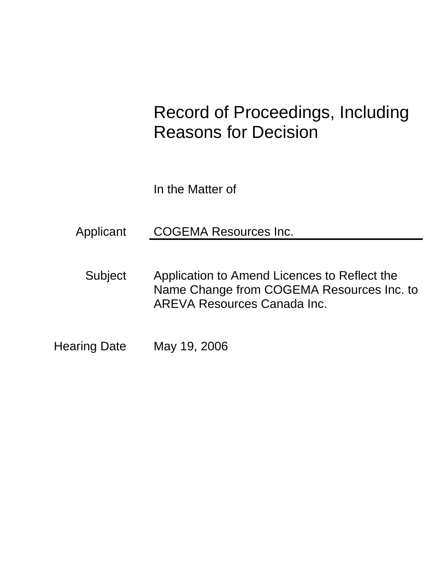# Record of Proceedings, Including Reasons for Decision

In the Matter of

Applicant COGEMA Resources Inc.

Subject Application to Amend Licences to Reflect the Name Change from COGEMA Resources Inc. to AREVA Resources Canada Inc.

Hearing Date May 19, 2006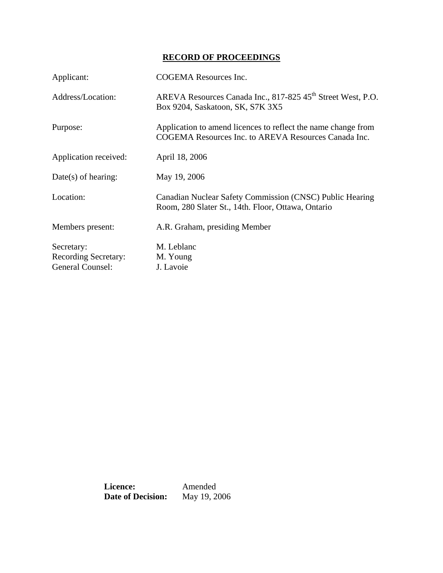# **RECORD OF PROCEEDINGS**

| Applicant:                  | <b>COGEMA</b> Resources Inc.                                                                                          |
|-----------------------------|-----------------------------------------------------------------------------------------------------------------------|
| Address/Location:           | AREVA Resources Canada Inc., 817-825 45 <sup>th</sup> Street West, P.O.<br>Box 9204, Saskatoon, SK, S7K 3X5           |
| Purpose:                    | Application to amend licences to reflect the name change from<br>COGEMA Resources Inc. to AREVA Resources Canada Inc. |
| Application received:       | April 18, 2006                                                                                                        |
| $Date(s)$ of hearing:       | May 19, 2006                                                                                                          |
| Location:                   | Canadian Nuclear Safety Commission (CNSC) Public Hearing<br>Room, 280 Slater St., 14th. Floor, Ottawa, Ontario        |
| Members present:            | A.R. Graham, presiding Member                                                                                         |
| Secretary:                  | M. Leblanc                                                                                                            |
| <b>Recording Secretary:</b> | M. Young                                                                                                              |
| General Counsel:            | J. Lavoie                                                                                                             |

**Licence:** Amended<br>Date of Decision: May 19, 2006 **Date of Decision:**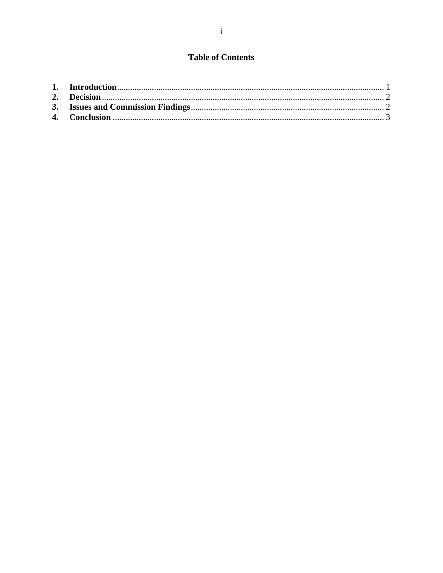# **Table of Contents**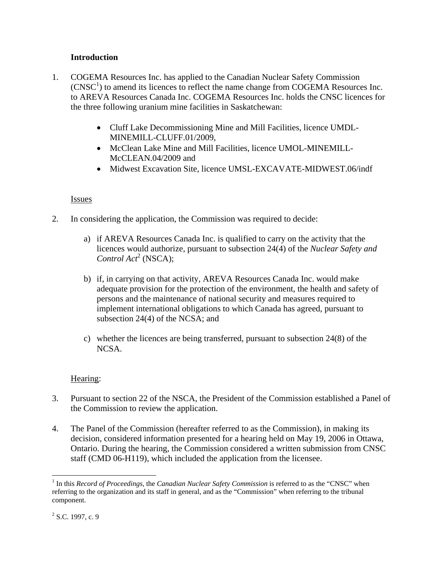# **Introduction**

- 1. COGEMA Resources Inc. has applied to the Canadian Nuclear Safety Commission  $(CNSC<sup>1</sup>)$  to amend its licences to reflect the name change from COGEMA Resources Inc. to AREVA Resources Canada Inc. COGEMA Resources Inc. holds the CNSC licences for the three following uranium mine facilities in Saskatchewan:
	- Cluff Lake Decommissioning Mine and Mill Facilities, licence UMDL-MINEMILL-CLUFF.01/2009,
	- McClean Lake Mine and Mill Facilities, licence UMOL-MINEMILL-McCLEAN.04/2009 and
	- Midwest Excavation Site, licence UMSL-EXCAVATE-MIDWEST.06/indf

### **Issues**

- 2. In considering the application, the Commission was required to decide:
	- a) if AREVA Resources Canada Inc. is qualified to carry on the activity that the licences would authorize, pursuant to subsection 24(4) of the *Nuclear Safety and*  Control Act<sup>2</sup> (NSCA);
	- b) if, in carrying on that activity, AREVA Resources Canada Inc. would make adequate provision for the protection of the environment, the health and safety of persons and the maintenance of national security and measures required to implement international obligations to which Canada has agreed, pursuant to subsection 24(4) of the NCSA; and
	- c) whether the licences are being transferred, pursuant to subsection 24(8) of the NCSA.

#### Hearing:

- 3. Pursuant to section 22 of the NSCA, the President of the Commission established a Panel of the Commission to review the application.
- 4. The Panel of the Commission (hereafter referred to as the Commission), in making its decision, considered information presented for a hearing held on May 19, 2006 in Ottawa, Ontario. During the hearing, the Commission considered a written submission from CNSC staff (CMD 06-H119), which included the application from the licensee.

 $\overline{a}$ 

<sup>&</sup>lt;sup>1</sup> In this *Record of Proceedings*, the *Canadian Nuclear Safety Commission* is referred to as the "CNSC" when referring to the organization and its staff in general, and as the "Commission" when referring to the tribunal component.

 $2^2$  S.C. 1997, c. 9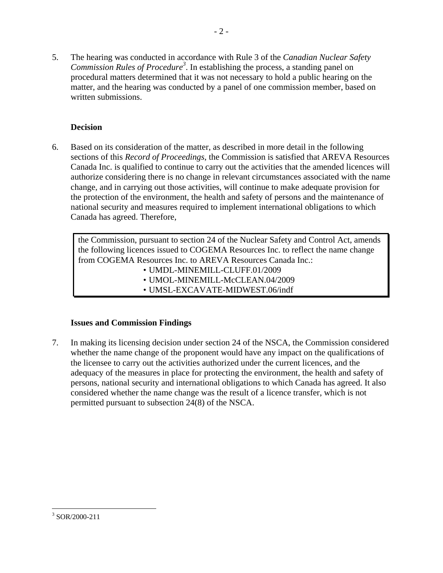5. The hearing was conducted in accordance with Rule 3 of the *Canadian Nuclear Safety*  Commission Rules of Procedure<sup>3</sup>. In establishing the process, a standing panel on procedural matters determined that it was not necessary to hold a public hearing on the matter, and the hearing was conducted by a panel of one commission member, based on written submissions.

# **Decision**

6. Based on its consideration of the matter, as described in more detail in the following sections of this *Record of Proceedings*, the Commission is satisfied that AREVA Resources Canada Inc. is qualified to continue to carry out the activities that the amended licences will authorize considering there is no change in relevant circumstances associated with the name change, and in carrying out those activities, will continue to make adequate provision for the protection of the environment, the health and safety of persons and the maintenance of national security and measures required to implement international obligations to which Canada has agreed. Therefore,

the Commission, pursuant to section 24 of the Nuclear Safety and Control Act, amends the following licences issued to COGEMA Resources Inc. to reflect the name change from COGEMA Resources Inc. to AREVA Resources Canada Inc.:

- UMDL-MINEMILL-CLUFF.01/2009
- UMOL-MINEMILL-McCLEAN.04/2009
- UMSL-EXCAVATE-MIDWEST.06/indf

# **Issues and Commission Findings**

7. In making its licensing decision under section 24 of the NSCA, the Commission considered whether the name change of the proponent would have any impact on the qualifications of the licensee to carry out the activities authorized under the current licences, and the adequacy of the measures in place for protecting the environment, the health and safety of persons, national security and international obligations to which Canada has agreed. It also considered whether the name change was the result of a licence transfer, which is not permitted pursuant to subsection 24(8) of the NSCA.

 $\overline{a}$ 3 SOR/2000-211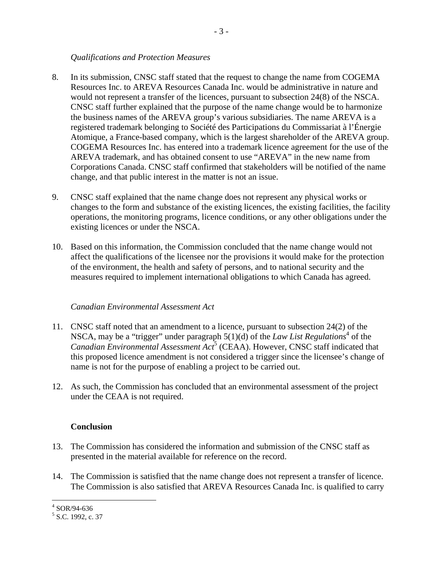#### *Qualifications and Protection Measures*

- 8. In its submission, CNSC staff stated that the request to change the name from COGEMA Resources Inc. to AREVA Resources Canada Inc. would be administrative in nature and would not represent a transfer of the licences, pursuant to subsection 24(8) of the NSCA. CNSC staff further explained that the purpose of the name change would be to harmonize the business names of the AREVA group's various subsidiaries. The name AREVA is a registered trademark belonging to Société des Participations du Commissariat à l'Énergie Atomique, a France-based company, which is the largest shareholder of the AREVA group. COGEMA Resources Inc. has entered into a trademark licence agreement for the use of the AREVA trademark, and has obtained consent to use "AREVA" in the new name from Corporations Canada. CNSC staff confirmed that stakeholders will be notified of the name change, and that public interest in the matter is not an issue.
- 9. CNSC staff explained that the name change does not represent any physical works or changes to the form and substance of the existing licences, the existing facilities, the facility operations, the monitoring programs, licence conditions, or any other obligations under the existing licences or under the NSCA.
- 10. Based on this information, the Commission concluded that the name change would not affect the qualifications of the licensee nor the provisions it would make for the protection of the environment, the health and safety of persons, and to national security and the measures required to implement international obligations to which Canada has agreed.

#### *Canadian Environmental Assessment Act*

- 11. CNSC staff noted that an amendment to a licence, pursuant to subsection 24(2) of the NSCA, may be a "trigger" under paragraph  $5(1)(d)$  of the *Law List Regulations*<sup>4</sup> of the Canadian Environmental Assessment Act<sup>5</sup> (CEAA). However, CNSC staff indicated that this proposed licence amendment is not considered a trigger since the licensee's change of name is not for the purpose of enabling a project to be carried out.
- 12. As such, the Commission has concluded that an environmental assessment of the project under the CEAA is not required.

#### **Conclusion**

- 13. The Commission has considered the information and submission of the CNSC staff as presented in the material available for reference on the record.
- 14. The Commission is satisfied that the name change does not represent a transfer of licence. The Commission is also satisfied that AREVA Resources Canada Inc. is qualified to carry

 4 SOR/94-636

<sup>&</sup>lt;sup>5</sup> S.C. 1992, c. 37